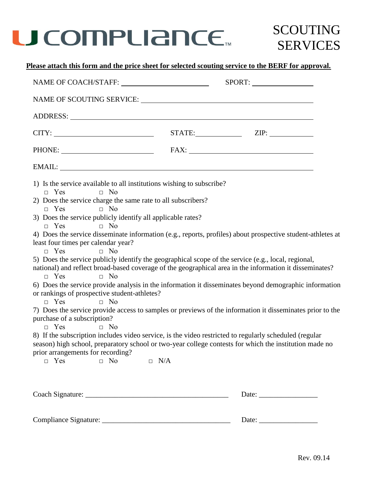

### SCOUTING SERVICES

### **Please attach this form and the price sheet for selected scouting service to the BERF for approval.**

|                                                                                                             |  | SPORT:                                                   |
|-------------------------------------------------------------------------------------------------------------|--|----------------------------------------------------------|
|                                                                                                             |  |                                                          |
|                                                                                                             |  |                                                          |
|                                                                                                             |  | STATE: ZIP:                                              |
|                                                                                                             |  |                                                          |
|                                                                                                             |  |                                                          |
| 1) Is the service available to all institutions wishing to subscribe?                                       |  |                                                          |
| $\Box$ Yes<br>$\Box$ No                                                                                     |  |                                                          |
| 2) Does the service charge the same rate to all subscribers?<br>$\Box$ No<br>$\Box$ Yes                     |  |                                                          |
| 3) Does the service publicly identify all applicable rates?                                                 |  |                                                          |
| $\Box$ No<br>$\Box$ Yes                                                                                     |  |                                                          |
| 4) Does the service disseminate information (e.g., reports, profiles) about prospective student-athletes at |  |                                                          |
| least four times per calendar year?                                                                         |  |                                                          |
| $\Box$ Yes<br>$\Box$ No                                                                                     |  |                                                          |
| 5) Does the service publicly identify the geographical scope of the service (e.g., local, regional,         |  |                                                          |
| national) and reflect broad-based coverage of the geographical area in the information it disseminates?     |  |                                                          |
| $\Box$ Yes<br>$\Box$ No                                                                                     |  |                                                          |
| 6) Does the service provide analysis in the information it disseminates beyond demographic information      |  |                                                          |
| or rankings of prospective student-athletes?                                                                |  |                                                          |
| $\Box$ Yes<br>$\Box$ No                                                                                     |  |                                                          |
| 7) Does the service provide access to samples or previews of the information it disseminates prior to the   |  |                                                          |
| purchase of a subscription?                                                                                 |  |                                                          |
| $\Box$ Yes<br>$\Box$ No                                                                                     |  |                                                          |
| 8) If the subscription includes video service, is the video restricted to regularly scheduled (regular      |  |                                                          |
| season) high school, preparatory school or two-year college contests for which the institution made no      |  |                                                          |
| prior arrangements for recording?                                                                           |  |                                                          |
| $\Box$ Yes<br>$\Box$ No<br>$\Box$ N/A                                                                       |  |                                                          |
|                                                                                                             |  |                                                          |
|                                                                                                             |  | Date: $\frac{1}{\sqrt{1-\frac{1}{2}} \cdot \frac{1}{2}}$ |
|                                                                                                             |  |                                                          |